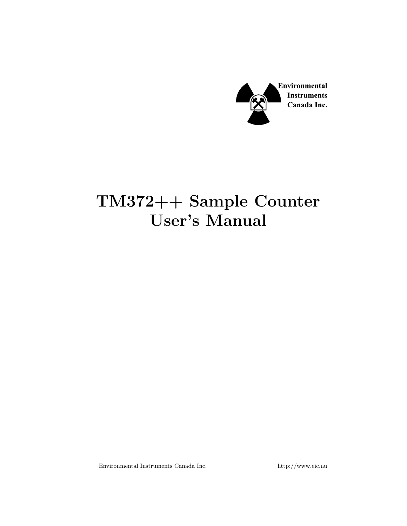

# TM372++ Sample Counter User's Manual

Environmental Instruments Canada Inc. http://www.eic.nu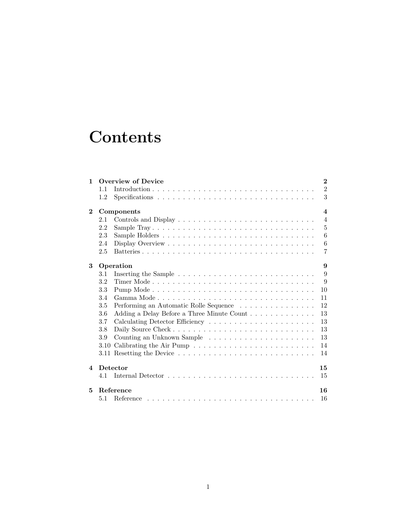# **Contents**

| 1                       | Overview of Device<br>$\bf{2}$ |                                                                                               |                |  |  |
|-------------------------|--------------------------------|-----------------------------------------------------------------------------------------------|----------------|--|--|
|                         | 1.1                            |                                                                                               | $\overline{2}$ |  |  |
|                         | 1.2                            | $Specifications \ldots \ldots \ldots \ldots \ldots \ldots \ldots \ldots \ldots \ldots \ldots$ | 3              |  |  |
| $\mathbf{2}$            | Components<br>$\boldsymbol{4}$ |                                                                                               |                |  |  |
|                         | 2.1                            |                                                                                               | $\overline{4}$ |  |  |
|                         | 2.2                            |                                                                                               | $\overline{5}$ |  |  |
|                         | 2.3                            |                                                                                               | 6              |  |  |
|                         | 2.4                            |                                                                                               | 6              |  |  |
|                         | 2.5                            |                                                                                               | $\overline{7}$ |  |  |
| 3                       | Operation<br>9                 |                                                                                               |                |  |  |
|                         | 3.1                            |                                                                                               | 9              |  |  |
|                         | 3.2                            |                                                                                               | 9              |  |  |
|                         | 3.3                            |                                                                                               | 10             |  |  |
|                         | 3.4                            |                                                                                               | 11             |  |  |
|                         | 3.5                            | Performing an Automatic Rolle Sequence                                                        | 12             |  |  |
|                         | 3.6                            |                                                                                               | 13             |  |  |
|                         | 3.7                            |                                                                                               | 13             |  |  |
|                         | 3.8                            |                                                                                               | 13             |  |  |
|                         | 3.9                            |                                                                                               | 13             |  |  |
|                         | 3.10                           |                                                                                               | 14             |  |  |
|                         |                                |                                                                                               | 14             |  |  |
| $\overline{\mathbf{4}}$ | Detector<br>15                 |                                                                                               |                |  |  |
|                         | 4.1                            |                                                                                               | 15             |  |  |
| 5                       | Reference<br>16                |                                                                                               |                |  |  |
|                         | 5.1                            |                                                                                               | 16             |  |  |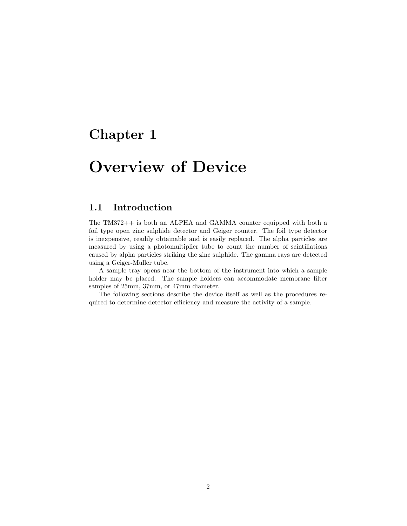## <span id="page-2-0"></span>Overview of Device

### <span id="page-2-1"></span>1.1 Introduction

The TM372++ is both an ALPHA and GAMMA counter equipped with both a foil type open zinc sulphide detector and Geiger counter. The foil type detector is inexpensive, readily obtainable and is easily replaced. The alpha particles are measured by using a photomultiplier tube to count the number of scintillations caused by alpha particles striking the zinc sulphide. The gamma rays are detected using a Geiger-Muller tube.

A sample tray opens near the bottom of the instrument into which a sample holder may be placed. The sample holders can accommodate membrane filter samples of 25mm, 37mm, or 47mm diameter.

The following sections describe the device itself as well as the procedures required to determine detector efficiency and measure the activity of a sample.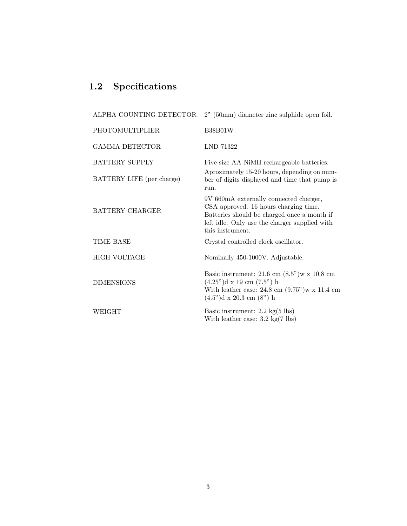### <span id="page-3-0"></span>1.2 Specifications

| ALPHA COUNTING DETECTOR   | $2"$ (50mm) diameter zinc sulphide open foil.                                                                                                                                                                             |  |
|---------------------------|---------------------------------------------------------------------------------------------------------------------------------------------------------------------------------------------------------------------------|--|
| <b>PHOTOMULTIPLIER</b>    | <b>B38B01W</b>                                                                                                                                                                                                            |  |
| <b>GAMMA DETECTOR</b>     | LND 71322                                                                                                                                                                                                                 |  |
| <b>BATTERY SUPPLY</b>     | Five size AA NiMH rechargeable batteries.                                                                                                                                                                                 |  |
| BATTERY LIFE (per charge) | Aproximately 15-20 hours, depending on num-<br>ber of digits displayed and time that pump is<br>run.                                                                                                                      |  |
| <b>BATTERY CHARGER</b>    | 9V 660mA externally connected charger,<br>CSA approved. 16 hours charging time.<br>Batteries should be charged once a month if<br>left idle. Only use the charger supplied with<br>this instrument.                       |  |
| TIME BASE                 | Crystal controlled clock oscillator.                                                                                                                                                                                      |  |
| <b>HIGH VOLTAGE</b>       | Nominally 450-1000V. Adjustable.                                                                                                                                                                                          |  |
| <b>DIMENSIONS</b>         | Basic instrument: $21.6 \text{ cm } (8.5")$ w x $10.8 \text{ cm}$<br>$(4.25^{\circ})d \times 19$ cm $(7.5^{\circ})$ h<br>With leather case: $24.8$ cm $(9.75)$ <sup>w</sup> x 11.4 cm<br>$(4.5")d \times 20.3$ cm $(8")h$ |  |
| WEIGHT                    | Basic instrument: 2.2 kg(5 lbs)<br>With leather case: $3.2 \text{ kg}(7 \text{ lbs})$                                                                                                                                     |  |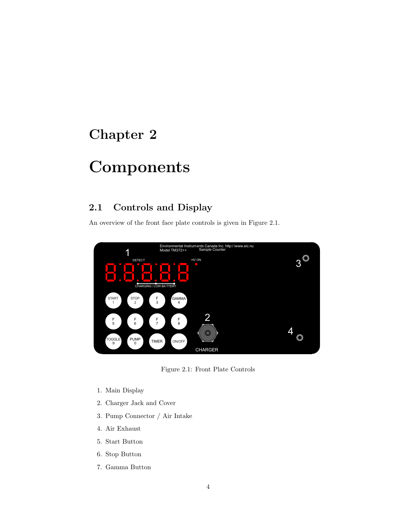# <span id="page-4-0"></span>Components

### <span id="page-4-1"></span>2.1 Controls and Display

An overview of the front face plate controls is given in [Figure 2.1.](#page-4-2)



<span id="page-4-2"></span>Figure 2.1: Front Plate Controls

- 1. Main Display
- 2. Charger Jack and Cover
- 3. Pump Connector / Air Intake
- 4. Air Exhaust
- 5. Start Button
- 6. Stop Button
- 7. Gamma Button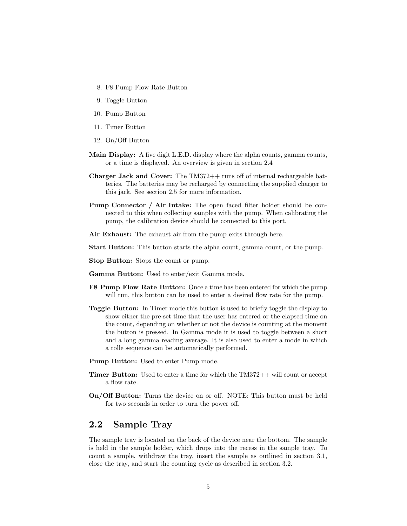- 8. F8 Pump Flow Rate Button
- 9. Toggle Button
- 10. Pump Button
- 11. Timer Button
- 12. On/Off Button
- Main Display: A five digit L.E.D. display where the alpha counts, gamma counts, or a time is displayed. An overview is given in [section 2.4](#page-6-1)
- Charger Jack and Cover: The TM372++ runs off of internal rechargeable batteries. The batteries may be recharged by connecting the supplied charger to this jack. See [section 2.5](#page-7-0) for more information.
- Pump Connector / Air Intake: The open faced filter holder should be connected to this when collecting samples with the pump. When calibrating the pump, the calibration device should be connected to this port.
- Air Exhaust: The exhaust air from the pump exits through here.
- Start Button: This button starts the alpha count, gamma count, or the pump.
- Stop Button: Stops the count or pump.
- Gamma Button: Used to enter/exit Gamma mode.
- F8 Pump Flow Rate Button: Once a time has been entered for which the pump will run, this button can be used to enter a desired flow rate for the pump.
- Toggle Button: In Timer mode this button is used to briefly toggle the display to show either the pre-set time that the user has entered or the elapsed time on the count, depending on whether or not the device is counting at the moment the button is pressed. In Gamma mode it is used to toggle between a short and a long gamma reading average. It is also used to enter a mode in which a rolle sequence can be automatically performed.
- Pump Button: Used to enter Pump mode.
- Timer Button: Used to enter a time for which the TM372++ will count or accept a flow rate.
- On/Off Button: Turns the device on or off. NOTE: This button must be held for two seconds in order to turn the power off.

### <span id="page-5-0"></span>2.2 Sample Tray

The sample tray is located on the back of the device near the bottom. The sample is held in the sample holder, which drops into the recess in the sample tray. To count a sample, withdraw the tray, insert the sample as outlined in [section 3.1,](#page-9-1) close the tray, and start the counting cycle as described in [section 3.2.](#page-9-2)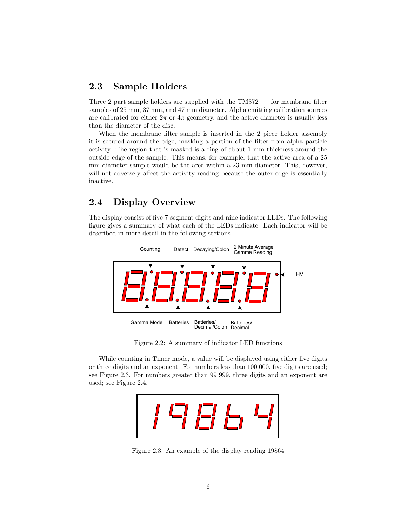#### <span id="page-6-0"></span>2.3 Sample Holders

Three 2 part sample holders are supplied with the TM372++ for membrane filter samples of 25 mm, 37 mm, and 47 mm diameter. Alpha emitting calibration sources are calibrated for either  $2\pi$  or  $4\pi$  geometry, and the active diameter is usually less than the diameter of the disc.

When the membrane filter sample is inserted in the 2 piece holder assembly it is secured around the edge, masking a portion of the filter from alpha particle activity. The region that is masked is a ring of about 1 mm thickness around the outside edge of the sample. This means, for example, that the active area of a 25 mm diameter sample would be the area within a 23 mm diameter. This, however, will not adversely affect the activity reading because the outer edge is essentially inactive.

### <span id="page-6-1"></span>2.4 Display Overview

The display consist of five 7-segment digits and nine indicator LEDs. The following figure gives a summary of what each of the LEDs indicate. Each indicator will be described in more detail in the following sections.



Figure 2.2: A summary of indicator LED functions

While counting in Timer mode, a value will be displayed using either five digits or three digits and an exponent. For numbers less than 100 000, five digits are used; see [Figure 2.3.](#page-6-2) For numbers greater than 99 999, three digits and an exponent are used; see [Figure 2.4.](#page-7-1)

<span id="page-6-2"></span>

Figure 2.3: An example of the display reading 19864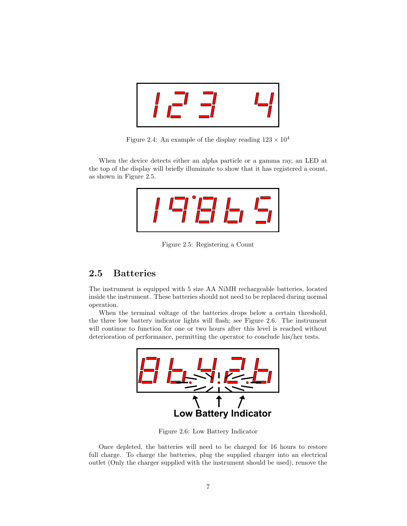| <u>any</u> |  |
|------------|--|
|------------|--|

<span id="page-7-1"></span>Figure 2.4: An example of the display reading  $123 \times 10^4$ 

When the device detects either an alpha particle or a gamma ray, an LED at the top of the display will briefly illuminate to show that it has registered a count, as shown in [Figure 2.5.](#page-7-2)

$$
T\subseteq T\subseteq T
$$

<span id="page-7-2"></span>Figure 2.5: Registering a Count

#### <span id="page-7-0"></span>2.5 Batteries

The instrument is equipped with 5 size AA NiMH rechargeable batteries, located inside the instrument. These batteries should not need to be replaced during normal operation.

When the terminal voltage of the batteries drops below a certain threshold, the three low battery indicator lights will flash; see [Figure 2.6.](#page-7-3) The instrument will continue to function for one or two hours after this level is reached without deterioration of performance, permitting the operator to conclude his/her tests.



<span id="page-7-3"></span>Figure 2.6: Low Battery Indicator

Once depleted, the batteries will need to be charged for 16 hours to restore full charge. To charge the batteries, plug the supplied charger into an electrical outlet (Only the charger supplied with the instrument should be used), remove the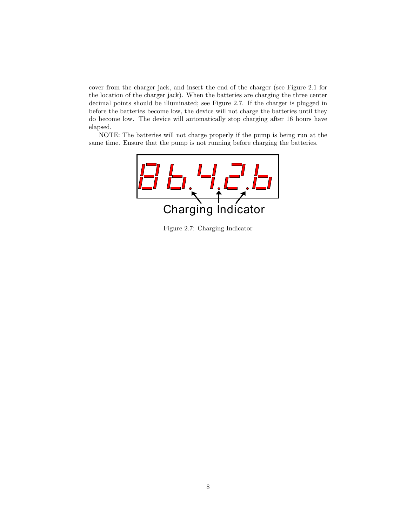cover from the charger jack, and insert the end of the charger (see [Figure 2.1](#page-4-2) for the location of the charger jack). When the batteries are charging the three center decimal points should be illuminated; see [Figure 2.7.](#page-8-0) If the charger is plugged in before the batteries become low, the device will not charge the batteries until they do become low. The device will automatically stop charging after 16 hours have elapsed.

NOTE: The batteries will not charge properly if the pump is being run at the same time. Ensure that the pump is not running before charging the batteries.



<span id="page-8-0"></span>Figure 2.7: Charging Indicator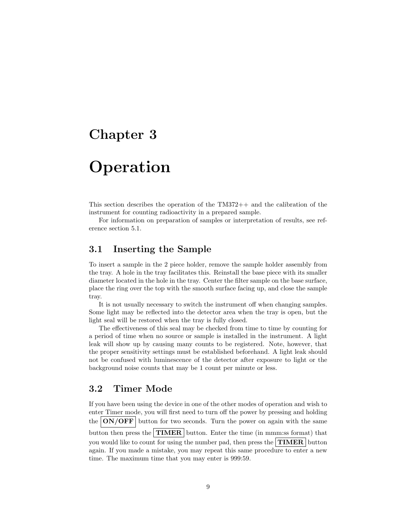# <span id="page-9-0"></span>**Operation**

This section describes the operation of the TM372++ and the calibration of the instrument for counting radioactivity in a prepared sample.

For information on preparation of samples or interpretation of results, see reference [section 5.1.](#page-16-1)

#### <span id="page-9-1"></span>3.1 Inserting the Sample

To insert a sample in the 2 piece holder, remove the sample holder assembly from the tray. A hole in the tray facilitates this. Reinstall the base piece with its smaller diameter located in the hole in the tray. Center the filter sample on the base surface, place the ring over the top with the smooth surface facing up, and close the sample tray.

It is not usually necessary to switch the instrument off when changing samples. Some light may be reflected into the detector area when the tray is open, but the light seal will be restored when the tray is fully closed.

The effectiveness of this seal may be checked from time to time by counting for a period of time when no source or sample is installed in the instrument. A light leak will show up by causing many counts to be registered. Note, however, that the proper sensitivity settings must be established beforehand. A light leak should not be confused with luminescence of the detector after exposure to light or the background noise counts that may be 1 count per minute or less.

#### <span id="page-9-2"></span>3.2 Timer Mode

If you have been using the device in one of the other modes of operation and wish to enter Timer mode, you will first need to turn off the power by pressing and holding the  $\lfloor ON/OFF \rfloor$  button for two seconds. Turn the power on again with the same button then press the  $\vert$  TIMER  $\vert$  button. Enter the time (in mmm:ss format) that you would like to count for using the number pad, then press the  $\boxed{\textbf{TIMER}}$  button again. If you made a mistake, you may repeat this same procedure to enter a new time. The maximum time that you may enter is 999:59.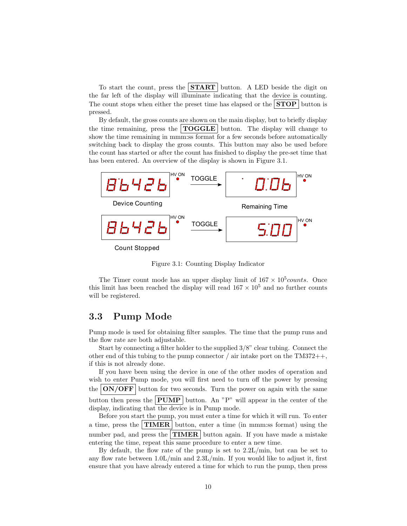To start the count, press the  $START$  button. A LED beside the digit on the far left of the display will illuminate indicating that the device is counting. The count stops when either the preset time has elapsed or the  $STOP$  button is pressed.

By default, the gross counts are shown on the main display, but to briefly display the time remaining, press the  $\text{TOGGLE}$  button. The display will change to show the time remaining in mmm:ss format for a few seconds before automatically switching back to display the gross counts. This button may also be used before the count has started or after the count has finished to display the pre-set time that has been entered. An overview of the display is shown in [Figure 3.1.](#page-10-1)



<span id="page-10-1"></span>Figure 3.1: Counting Display Indicator

The Timer count mode has an upper display limit of  $167 \times 10^5 \text{counts}$ . Once this limit has been reached the display will read  $167 \times 10^5$  and no further counts will be registered.

#### <span id="page-10-0"></span>3.3 Pump Mode

Pump mode is used for obtaining filter samples. The time that the pump runs and the flow rate are both adjustable.

Start by connecting a filter holder to the supplied 3/8" clear tubing. Connect the other end of this tubing to the pump connector / air intake port on the  $TM372++$ , if this is not already done.

If you have been using the device in one of the other modes of operation and wish to enter Pump mode, you will first need to turn off the power by pressing the  $\text{ON}/\text{OFF}$  button for two seconds. Turn the power on again with the same button then press the **PUMP** button. An "P" will appear in the center of the display, indicating that the device is in Pump mode.

Before you start the pump, you must enter a time for which it will run. To enter a time, press the **TIMER** button, enter a time (in mmm:ss format) using the number pad, and press the **TIMER** button again. If you have made a mistake entering the time, repeat this same procedure to enter a new time.

By default, the flow rate of the pump is set to 2.2L/min, but can be set to any flow rate between  $1.0L/min$  and  $2.3L/min$ . If you would like to adjust it, first ensure that you have already entered a time for which to run the pump, then press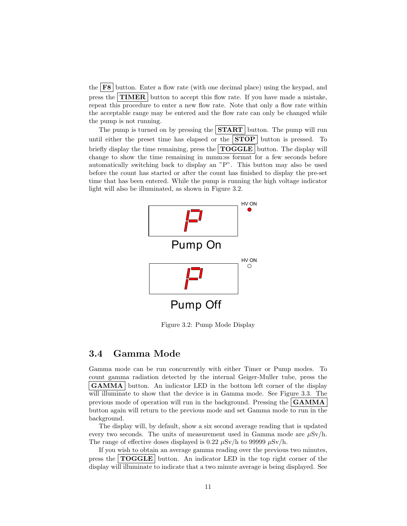the  $\mathbf{F8}$  button. Enter a flow rate (with one decimal place) using the keypad, and press the **TIMER** button to accept this flow rate. If you have made a mistake, repeat this procedure to enter a new flow rate. Note that only a flow rate within the acceptable range may be entered and the flow rate can only be changed while the pump is not running.

The pump is turned on by pressing the  $START$  button. The pump will run until either the preset time has elapsed or the  $STOP$  button is pressed. To briefly display the time remaining, press the  $\text{TOGGLE}$  button. The display will change to show the time remaining in mmm:ss format for a few seconds before automatically switching back to display an "P". This button may also be used before the count has started or after the count has finished to display the pre-set time that has been entered. While the pump is running the high voltage indicator light will also be illuminated, as shown in [Figure 3.2.](#page-11-1)



<span id="page-11-1"></span>Figure 3.2: Pump Mode Display

#### <span id="page-11-0"></span>3.4 Gamma Mode

Gamma mode can be run concurrently with either Timer or Pump modes. To count gamma radiation detected by the internal Geiger-Muller tube, press the **GAMMA** button. An indicator LED in the bottom left corner of the display will illuminate to show that the device is in Gamma mode. See [Figure 3.3.](#page-12-1) The previous mode of operation will run in the background. Pressing the  $\mathbf{GAMMA}$ button again will return to the previous mode and set Gamma mode to run in the background.

The display will, by default, show a six second average reading that is updated every two seconds. The units of measurement used in Gamma mode are  $\mu Sv/h$ . The range of effective doses displayed is 0.22  $\mu$ Sv/h to 99999  $\mu$ Sv/h.

If you wish to obtain an average gamma reading over the previous two minutes, press the TOGGLE button. An indicator LED in the top right corner of the display will illuminate to indicate that a two minute average is being displayed. See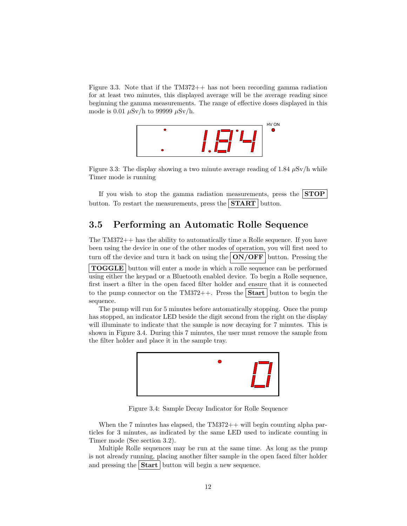[Figure 3.3.](#page-12-1) Note that if the TM372++ has not been recording gamma radiation for at least two minutes, this displayed average will be the average reading since beginning the gamma measurements. The range of effective doses displayed in this mode is 0.01  $\mu$ Sv/h to 99999  $\mu$ Sv/h.



<span id="page-12-1"></span>Figure 3.3: The display showing a two minute average reading of 1.84  $\mu$ Sv/h while Timer mode is running

If you wish to stop the gamma radiation measurements, press the  $STOP$ button. To restart the measurements, press the  $START$  button.

#### <span id="page-12-0"></span>3.5 Performing an Automatic Rolle Sequence

The TM372++ has the ability to automatically time a Rolle sequence. If you have been using the device in one of the other modes of operation, you will first need to turn off the device and turn it back on using the  $\vert ON/OFF \vert$  button. Pressing the

TOGGLE button will enter a mode in which a rolle sequence can be performed using either the keypad or a Bluetooth enabled device. To begin a Rolle sequence, first insert a filter in the open faced filter holder and ensure that it is connected to the pump connector on the TM372++. Press the  $|\text{Start}|$  button to begin the sequence.

The pump will run for 5 minutes before automatically stopping. Once the pump has stopped, an indicator LED beside the digit second from the right on the display will illuminate to indicate that the sample is now decaying for 7 minutes. This is shown in [Figure 3.4.](#page-12-2) During this 7 minutes, the user must remove the sample from the filter holder and place it in the sample tray.



<span id="page-12-2"></span>Figure 3.4: Sample Decay Indicator for Rolle Sequence

When the 7 minutes has elapsed, the  $TM372++$  will begin counting alpha particles for 3 minutes, as indicated by the same LED used to indicate counting in Timer mode (See [section 3.2\)](#page-9-2).

Multiple Rolle sequences may be run at the same time. As long as the pump is not already running, placing another filter sample in the open faced filter holder and pressing the  $\text{Start}$  button will begin a new sequence.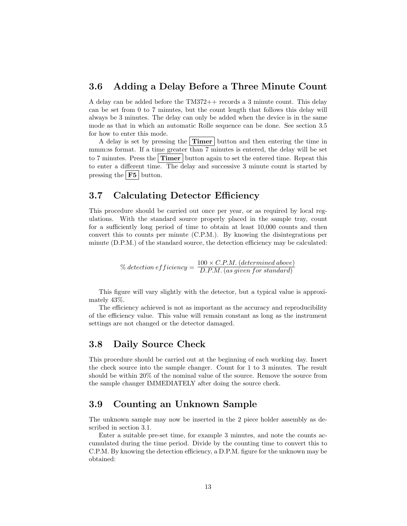#### <span id="page-13-0"></span>3.6 Adding a Delay Before a Three Minute Count

A delay can be added before the TM372++ records a 3 minute count. This delay can be set from 0 to 7 minutes, but the count length that follows this delay will always be 3 minutes. The delay can only be added when the device is in the same mode as that in which an automatic Rolle sequence can be done. See [section 3.5](#page-12-0) for how to enter this mode.

A delay is set by pressing the  $\text{Timer}$  button and then entering the time in mmm:ss format. If a time greater than 7 minutes is entered, the delay will be set to 7 minutes. Press the Timer button again to set the entered time. Repeat this to enter a different time. The delay and successive 3 minute count is started by pressing the  $\overline{\phantom{a}}$  F5 button.

#### <span id="page-13-1"></span>3.7 Calculating Detector Efficiency

This procedure should be carried out once per year, or as required by local regulations. With the standard source properly placed in the sample tray, count for a sufficiently long period of time to obtain at least 10,000 counts and then convert this to counts per minute (C.P.M.). By knowing the disintegrations per minute (D.P.M.) of the standard source, the detection efficiency may be calculated:

> $\%$  detection efficiency  $= \frac{100 \times C.P.M.$  (determined above) D.P.M. (as given for standard)

This figure will vary slightly with the detector, but a typical value is approximately 43%.

The efficiency achieved is not as important as the accuracy and reproducibility of the efficiency value. This value will remain constant as long as the instrument settings are not changed or the detector damaged.

#### <span id="page-13-2"></span>3.8 Daily Source Check

This procedure should be carried out at the beginning of each working day. Insert the check source into the sample changer. Count for 1 to 3 minutes. The result should be within 20% of the nominal value of the source. Remove the source from the sample changer IMMEDIATELY after doing the source check.

#### <span id="page-13-3"></span>3.9 Counting an Unknown Sample

The unknown sample may now be inserted in the 2 piece holder assembly as described in [section 3.1.](#page-9-1)

Enter a suitable pre-set time, for example 3 minutes, and note the counts accumulated during the time period. Divide by the counting time to convert this to C.P.M. By knowing the detection efficiency, a D.P.M. figure for the unknown may be obtained: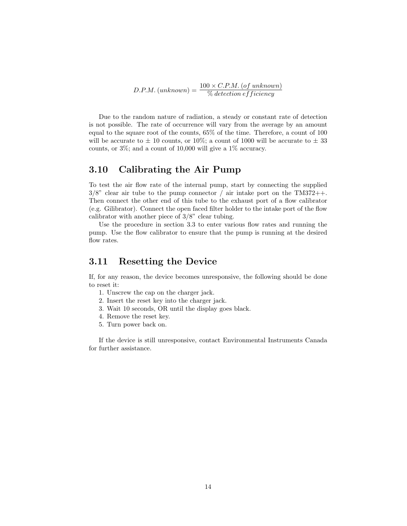$$
D.P.M. (unknown) = \frac{100 \times C.P.M. (of unknown)}{\% detection efficiency}
$$

Due to the random nature of radiation, a steady or constant rate of detection is not possible. The rate of occurrence will vary from the average by an amount equal to the square root of the counts, 65% of the time. Therefore, a count of 100 will be accurate to  $\pm$  10 counts, or 10%; a count of 1000 will be accurate to  $\pm$  33 counts, or 3%; and a count of 10,000 will give a 1% accuracy.

#### <span id="page-14-0"></span>3.10 Calibrating the Air Pump

To test the air flow rate of the internal pump, start by connecting the supplied  $3/8$ " clear air tube to the pump connector / air intake port on the TM372++. Then connect the other end of this tube to the exhaust port of a flow calibrator (e.g. Gilibrator). Connect the open faced filter holder to the intake port of the flow calibrator with another piece of 3/8" clear tubing.

Use the procedure in [section 3.3](#page-10-0) to enter various flow rates and running the pump. Use the flow calibrator to ensure that the pump is running at the desired flow rates.

#### <span id="page-14-1"></span>3.11 Resetting the Device

If, for any reason, the device becomes unresponsive, the following should be done to reset it:

- 1. Unscrew the cap on the charger jack.
- 2. Insert the reset key into the charger jack.
- 3. Wait 10 seconds, OR until the display goes black.
- 4. Remove the reset key.
- 5. Turn power back on.

If the device is still unresponsive, contact Environmental Instruments Canada for further assistance.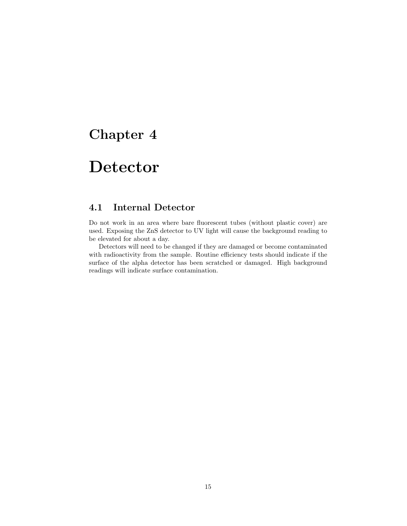## <span id="page-15-0"></span>Detector

#### <span id="page-15-1"></span>4.1 Internal Detector

Do not work in an area where bare fluorescent tubes (without plastic cover) are used. Exposing the ZnS detector to UV light will cause the background reading to be elevated for about a day.

Detectors will need to be changed if they are damaged or become contaminated with radioactivity from the sample. Routine efficiency tests should indicate if the surface of the alpha detector has been scratched or damaged. High background readings will indicate surface contamination.